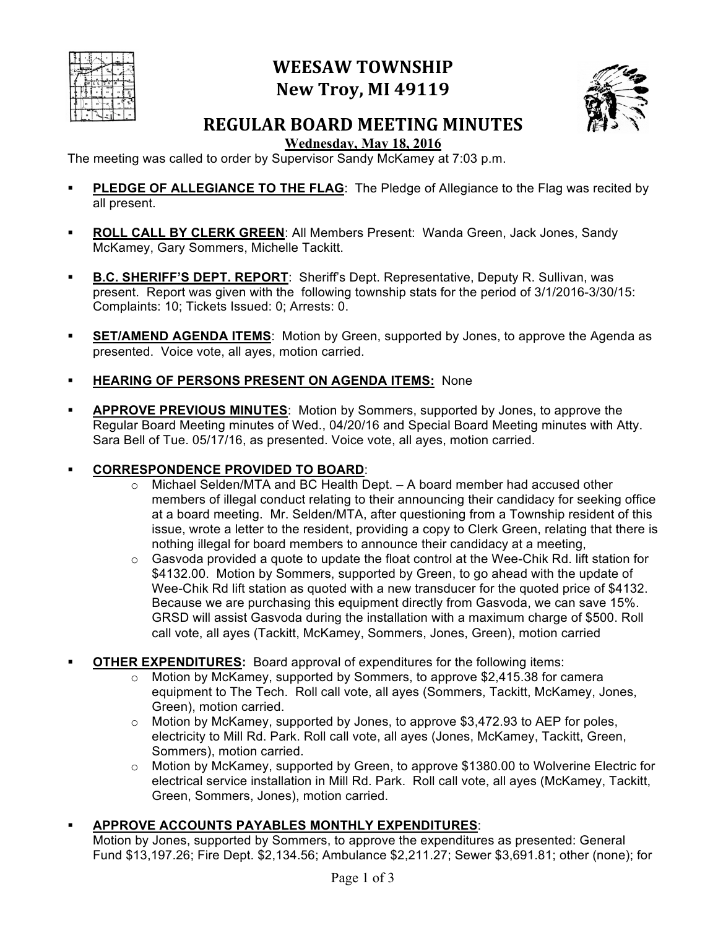|  |   | FF | тε<br>۵ |   |
|--|---|----|---------|---|
|  |   |    |         | ÷ |
|  | ŀ |    |         |   |
|  |   |    |         |   |

# **WEESAW TOWNSHIP New Troy, MI 49119**



## **REGULAR BOARD MEETING MINUTES**

**Wednesday, May 18, 2016**

The meeting was called to order by Supervisor Sandy McKamey at 7:03 p.m.

- **PLEDGE OF ALLEGIANCE TO THE FLAG:** The Pledge of Allegiance to the Flag was recited by all present.
- ! **ROLL CALL BY CLERK GREEN**: All Members Present: Wanda Green, Jack Jones, Sandy McKamey, Gary Sommers, Michelle Tackitt.
- **B.C. SHERIFF'S DEPT. REPORT:** Sheriff's Dept. Representative, Deputy R. Sullivan, was present. Report was given with the following township stats for the period of 3/1/2016-3/30/15: Complaints: 10; Tickets Issued: 0; Arrests: 0.
- **EXEMPT SET/AMEND AGENDA ITEMS:** Motion by Green, supported by Jones, to approve the Agenda as presented. Voice vote, all ayes, motion carried.
- ! **HEARING OF PERSONS PRESENT ON AGENDA ITEMS:** None
- ! **APPROVE PREVIOUS MINUTES**: Motion by Sommers, supported by Jones, to approve the Regular Board Meeting minutes of Wed., 04/20/16 and Special Board Meeting minutes with Atty. Sara Bell of Tue. 05/17/16, as presented. Voice vote, all ayes, motion carried.

## ! **CORRESPONDENCE PROVIDED TO BOARD**:

- $\circ$  Michael Selden/MTA and BC Health Dept.  $-$  A board member had accused other members of illegal conduct relating to their announcing their candidacy for seeking office at a board meeting. Mr. Selden/MTA, after questioning from a Township resident of this issue, wrote a letter to the resident, providing a copy to Clerk Green, relating that there is nothing illegal for board members to announce their candidacy at a meeting,
- $\circ$  Gasvoda provided a quote to update the float control at the Wee-Chik Rd. lift station for \$4132.00. Motion by Sommers, supported by Green, to go ahead with the update of Wee-Chik Rd lift station as quoted with a new transducer for the quoted price of \$4132. Because we are purchasing this equipment directly from Gasvoda, we can save 15%. GRSD will assist Gasvoda during the installation with a maximum charge of \$500. Roll call vote, all ayes (Tackitt, McKamey, Sommers, Jones, Green), motion carried
- **OTHER EXPENDITURES:** Board approval of expenditures for the following items:
	- $\circ$  Motion by McKamey, supported by Sommers, to approve \$2,415.38 for camera equipment to The Tech. Roll call vote, all ayes (Sommers, Tackitt, McKamey, Jones, Green), motion carried.
	- o Motion by McKamey, supported by Jones, to approve \$3,472.93 to AEP for poles, electricity to Mill Rd. Park. Roll call vote, all ayes (Jones, McKamey, Tackitt, Green, Sommers), motion carried.
	- $\circ$  Motion by McKamey, supported by Green, to approve \$1380.00 to Wolverine Electric for electrical service installation in Mill Rd. Park. Roll call vote, all ayes (McKamey, Tackitt, Green, Sommers, Jones), motion carried.
- ! **APPROVE ACCOUNTS PAYABLES MONTHLY EXPENDITURES**:

Motion by Jones, supported by Sommers, to approve the expenditures as presented: General Fund \$13,197.26; Fire Dept. \$2,134.56; Ambulance \$2,211.27; Sewer \$3,691.81; other (none); for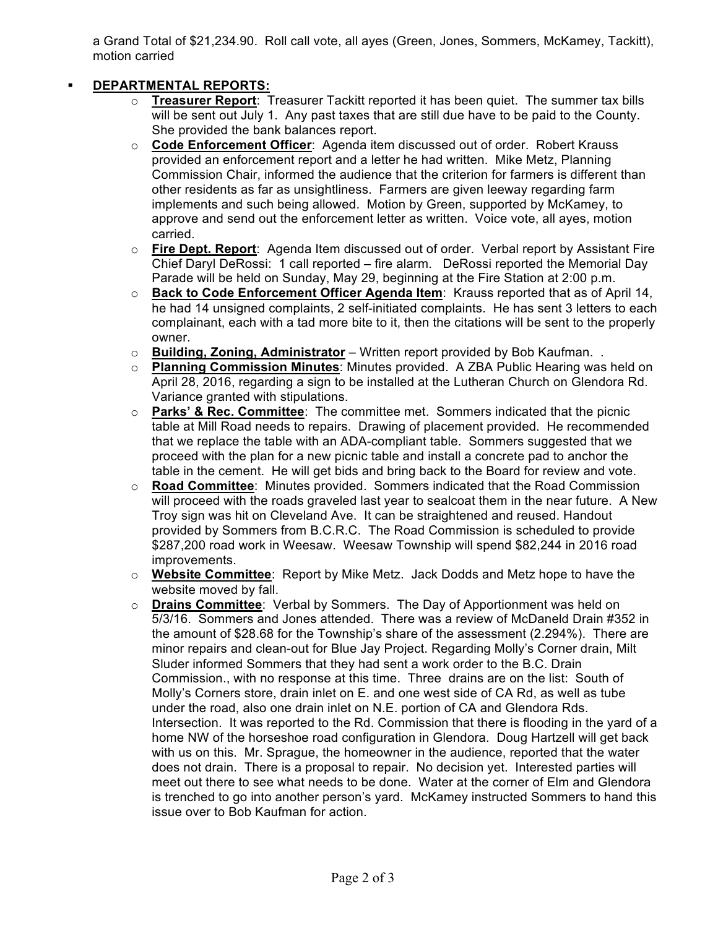a Grand Total of \$21,234.90. Roll call vote, all ayes (Green, Jones, Sommers, McKamey, Tackitt), motion carried

### ! **DEPARTMENTAL REPORTS:**

- o **Treasurer Report**: Treasurer Tackitt reported it has been quiet. The summer tax bills will be sent out July 1. Any past taxes that are still due have to be paid to the County. She provided the bank balances report.
- o **Code Enforcement Officer**: Agenda item discussed out of order. Robert Krauss provided an enforcement report and a letter he had written. Mike Metz, Planning Commission Chair, informed the audience that the criterion for farmers is different than other residents as far as unsightliness. Farmers are given leeway regarding farm implements and such being allowed. Motion by Green, supported by McKamey, to approve and send out the enforcement letter as written. Voice vote, all ayes, motion carried.
- o **Fire Dept. Report**: Agenda Item discussed out of order. Verbal report by Assistant Fire Chief Daryl DeRossi: 1 call reported – fire alarm. DeRossi reported the Memorial Day Parade will be held on Sunday, May 29, beginning at the Fire Station at 2:00 p.m.
- o **Back to Code Enforcement Officer Agenda Item**: Krauss reported that as of April 14, he had 14 unsigned complaints, 2 self-initiated complaints. He has sent 3 letters to each complainant, each with a tad more bite to it, then the citations will be sent to the properly owner.
- o **Building, Zoning, Administrator** Written report provided by Bob Kaufman. .
- o **Planning Commission Minutes**: Minutes provided. A ZBA Public Hearing was held on April 28, 2016, regarding a sign to be installed at the Lutheran Church on Glendora Rd. Variance granted with stipulations.
- o **Parks' & Rec. Committee**: The committee met. Sommers indicated that the picnic table at Mill Road needs to repairs. Drawing of placement provided. He recommended that we replace the table with an ADA-compliant table. Sommers suggested that we proceed with the plan for a new picnic table and install a concrete pad to anchor the table in the cement. He will get bids and bring back to the Board for review and vote.
- o **Road Committee**: Minutes provided. Sommers indicated that the Road Commission will proceed with the roads graveled last year to sealcoat them in the near future. A New Troy sign was hit on Cleveland Ave. It can be straightened and reused. Handout provided by Sommers from B.C.R.C. The Road Commission is scheduled to provide \$287,200 road work in Weesaw. Weesaw Township will spend \$82,244 in 2016 road improvements.
- o **Website Committee**: Report by Mike Metz. Jack Dodds and Metz hope to have the website moved by fall.
- o **Drains Committee**: Verbal by Sommers. The Day of Apportionment was held on 5/3/16. Sommers and Jones attended. There was a review of McDaneld Drain #352 in the amount of \$28.68 for the Township's share of the assessment (2.294%). There are minor repairs and clean-out for Blue Jay Project. Regarding Molly's Corner drain, Milt Sluder informed Sommers that they had sent a work order to the B.C. Drain Commission., with no response at this time. Three drains are on the list: South of Molly's Corners store, drain inlet on E. and one west side of CA Rd, as well as tube under the road, also one drain inlet on N.E. portion of CA and Glendora Rds. Intersection. It was reported to the Rd. Commission that there is flooding in the yard of a home NW of the horseshoe road configuration in Glendora. Doug Hartzell will get back with us on this. Mr. Sprague, the homeowner in the audience, reported that the water does not drain. There is a proposal to repair. No decision yet. Interested parties will meet out there to see what needs to be done. Water at the corner of Elm and Glendora is trenched to go into another person's yard. McKamey instructed Sommers to hand this issue over to Bob Kaufman for action.